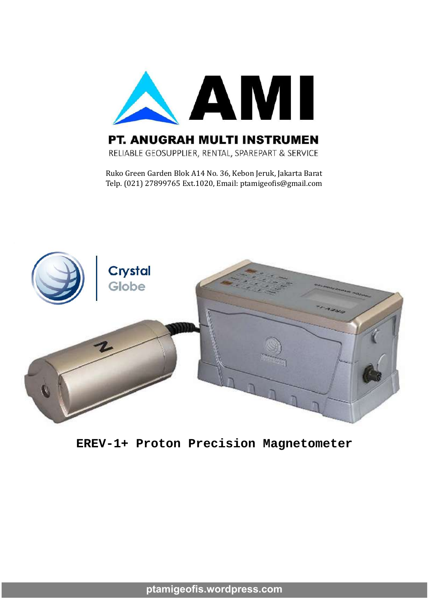

#### PT. ANUGRAH MULTI INSTRUMEN

RELIABLE GEOSUPPLIER, RENTAL, SPAREPART & SERVICE

Ruko Green Garden Blok A14 No. 36, Kebon Jeruk, Jakarta Barat Telp. (021) 27899765 Ext.1020, Email: ptamigeo�is@gmail.com



#### **EREV-1+ Proton Precision Magnetometer**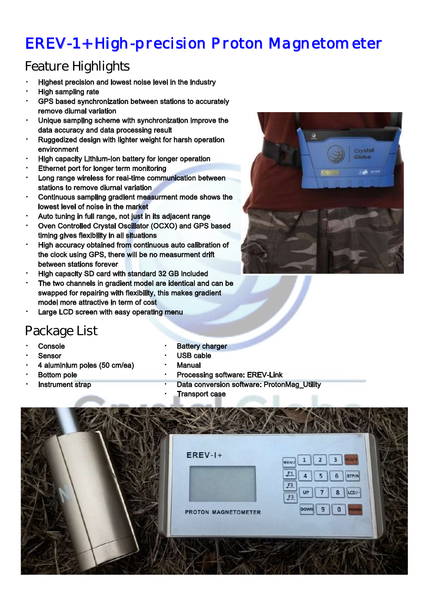# EREV-1+ High-precision P roton Magnetom eter

### Feature Highlights

- Highest precision and lowest noise level in the industry
- **High sampling rate**
- GPS based synchronization between stations to accurately remove diurnal variation
- Unique sampling scheme with synchronization improve the data accuracy and data processing result
- Ruggedized design with lighter weight for harsh operation environment
- High capacity Lithium-Ion battery for longer operation
- Ethernet port for longer term monitoring
- Long range wireless for real-time communication between stations to remove diurnal variation
- Continuous sampling gradient measurment mode shows the lowest level of noise in the market
- Auto tuning in full range, not just in its adjacent range
- Oven Controlled Crystal Oscillator (OCXO) and GPS based timing gives flexibility in all situations
- High accuracy obtained from continuous auto calibration of the clock using GPS, there will be no measurment drift between stations forever
- High capacity SD card with standard 32 GB included
- The two channels in gradient model are identical and can be swapped for repairing with flexibility, this makes gradient model more attractive in term of cost
- Large LCD screen with easy operating menu

#### Package List

- **Console**
- **Sensor**
- 4 aluminium poles (50 cm/ea)
- **Bottom pole**
- Instrument strap
- **Battery charger**
- USB cable
- **Manual** 
	- Processing software: EREV-Link
		- Data conversion software: ProtonMag\_Utility
		- **Transport case**

|  | $EREV-I+$<br>$\overline{2}$<br>3<br>MENU                                                                            |  |
|--|---------------------------------------------------------------------------------------------------------------------|--|
|  | F1<br>STP/N<br>6<br>5<br>$\frac{F2}{F3}$<br>LCD/-<br><b>UP</b><br>8<br><b>DOWN</b><br>9<br>0<br>PROTON MAGNETOMETER |  |
|  |                                                                                                                     |  |

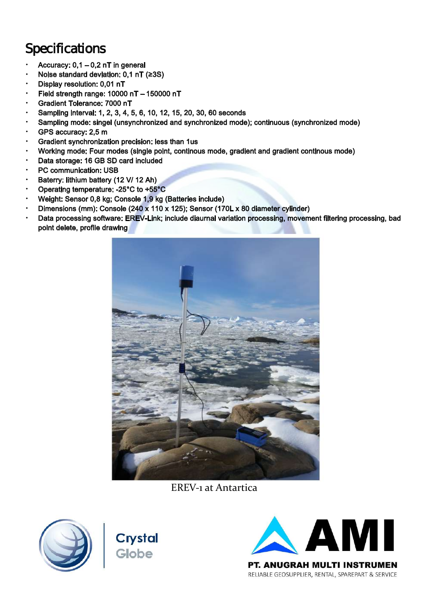## **Specifications**

- Accuracy: 0,1 0,2 nT in general
- Noise standard deviation: 0,1 nT (≥3S)
- Display resolution: 0,01 nT
- Field strength range: 10000 nT 150000 nT
- Gradient Tolerance: 7000 nT
- Sampling interval: 1, 2, 3, 4, 5, 6, 10, 12, 15, 20, 30, 60 seconds
- Sampling mode: singel (unsynchronized and synchronized mode); continuous (synchronized mode)
- GPS accuracy: 2,5 m
- Gradient synchronization precision: less than 1us
- Working mode: Four modes (single point, continous mode, gradient and gradient continous mode)
- Data storage: 16 GB SD card included
- PC communication: USB
- Baterry: lithium battery (12 V/ 12 Ah)
- Operating temperature: -25°C to +55°C
- Weight: Sensor 0,8 kg; Console 1,9 kg (Batteries include)
- Dimensions (mm): Console (240 x 110 x 125); Sensor (170L x 80 diameter cylinder)
- Data processing software: EREV-Link; include diaurnal variation processing, movement filtering processing, bad point delete, profile drawing



EREV‐1 at Antartica